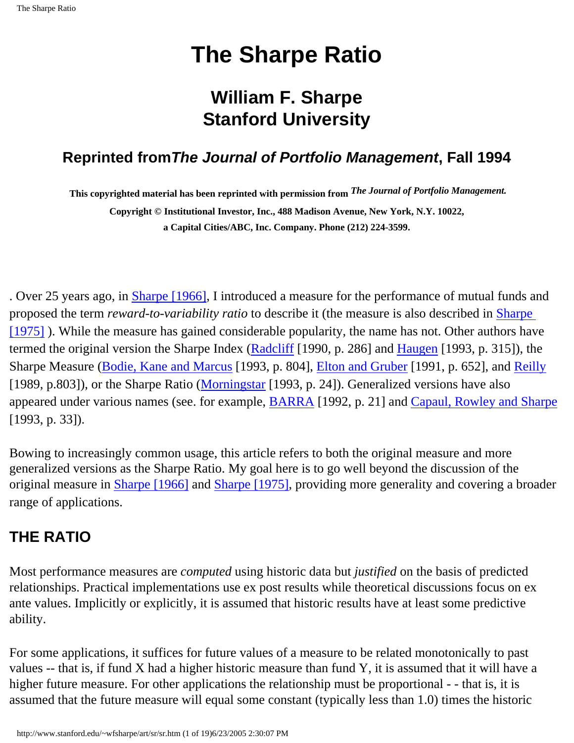## **William F. Sharpe Stanford University**

## <span id="page-0-0"></span>**Reprinted fromThe Journal of Portfolio Management, Fall 1994**

**This copyrighted material has been reprinted with permission from** *The Journal of Portfolio Management.*

**Copyright © Institutional Investor, Inc., 488 Madison Avenue, New York, N.Y. 10022, a Capital Cities/ABC, Inc. Company. Phone (212) 224-3599.**

. Over 25 years ago, in **Sharpe** [1966], I introduced a measure for the performance of mutual funds and proposed the term *reward-to-variability ratio* to describe it (the measure is also described in [Sharpe](http://www.stanford.edu/~wfsharpe/art/sr/SR.htm#Sharpe75) [\[1975\]](http://www.stanford.edu/~wfsharpe/art/sr/SR.htm#Sharpe75) ). While the measure has gained considerable popularity, the name has not. Other authors have termed the original version the Sharpe Index ([Radcliff](http://www.stanford.edu/~wfsharpe/art/sr/SR.htm#Radcliff) [1990, p. 286] and [Haugen](http://www.stanford.edu/~wfsharpe/art/sr/SR.htm#Haugen) [1993, p. 315]), the Sharpe Measure ([Bodie, Kane and Marcus](http://www.stanford.edu/~wfsharpe/art/sr/SR.htm#Bodie) [1993, p. 804], [Elton and Gruber](http://www.stanford.edu/~wfsharpe/art/sr/SR.htm#Elton) [1991, p. 652], and [Reilly](http://www.stanford.edu/~wfsharpe/art/sr/SR.htm#Reilly) [1989, p.803]), or the Sharpe Ratio [\(Morningstar](http://www.stanford.edu/~wfsharpe/art/sr/SR.htm#Morningstar) [1993, p. 24]). Generalized versions have also appeared under various names (see. for example, [BARRA](http://www.stanford.edu/~wfsharpe/art/sr/SR.htm#BARRA) [1992, p. 21] and [Capaul, Rowley and Sharpe](http://www.stanford.edu/~wfsharpe/art/sr/SR.htm#Capaul) [1993, p. 33]).

Bowing to increasingly common usage, this article refers to both the original measure and more generalized versions as the Sharpe Ratio. My goal here is to go well beyond the discussion of the original measure in [Sharpe \[1966\]](http://www.stanford.edu/~wfsharpe/art/sr/SR.htm#Sharpe66) and [Sharpe \[1975\]](http://www.stanford.edu/~wfsharpe/art/sr/SR.htm#Sharpe75), providing more generality and covering a broader range of applications.

## **THE RATIO**

Most performance measures are *computed* using historic data but *justified* on the basis of predicted relationships. Practical implementations use ex post results while theoretical discussions focus on ex ante values. Implicitly or explicitly, it is assumed that historic results have at least some predictive ability.

For some applications, it suffices for future values of a measure to be related monotonically to past values -- that is, if fund X had a higher historic measure than fund Y, it is assumed that it will have a higher future measure. For other applications the relationship must be proportional - - that is, it is assumed that the future measure will equal some constant (typically less than 1.0) times the historic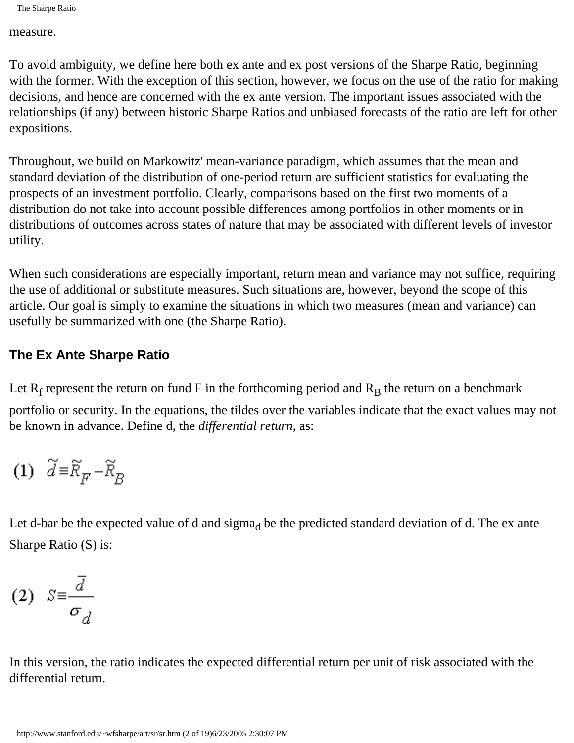measure.

To avoid ambiguity, we define here both ex ante and ex post versions of the Sharpe Ratio, beginning with the former. With the exception of this section, however, we focus on the use of the ratio for making decisions, and hence are concerned with the ex ante version. The important issues associated with the relationships (if any) between historic Sharpe Ratios and unbiased forecasts of the ratio are left for other expositions.

Throughout, we build on Markowitz' mean-variance paradigm, which assumes that the mean and standard deviation of the distribution of one-period return are sufficient statistics for evaluating the prospects of an investment portfolio. Clearly, comparisons based on the first two moments of a distribution do not take into account possible differences among portfolios in other moments or in distributions of outcomes across states of nature that may be associated with different levels of investor utility.

When such considerations are especially important, return mean and variance may not suffice, requiring the use of additional or substitute measures. Such situations are, however, beyond the scope of this article. Our goal is simply to examine the situations in which two measures (mean and variance) can usefully be summarized with one (the Sharpe Ratio).

#### **The Ex Ante Sharpe Ratio**

Let  $R_f$  represent the return on fund F in the forthcoming period and  $R_B$  the return on a benchmark

portfolio or security. In the equations, the tildes over the variables indicate that the exact values may not be known in advance. Define d, the *differential return*, as:

$$
(1) \quad \widetilde{d} \!\equiv\! \widetilde{R}_{\overline{F}} \!-\! \widetilde{R}_{\overline{B}}
$$

Let d-bar be the expected value of d and sigma<sub>d</sub> be the predicted standard deviation of d. The ex ante Sharpe Ratio (S) is:

$$
(2) \quad S \equiv \frac{\overline{d}}{\sigma_{d}}
$$

In this version, the ratio indicates the expected differential return per unit of risk associated with the differential return.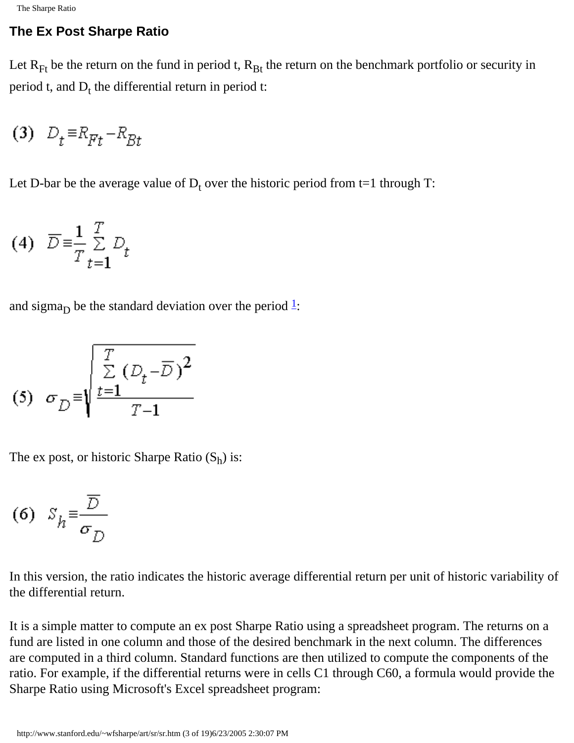#### **The Ex Post Sharpe Ratio**

Let  $R_{Ft}$  be the return on the fund in period t,  $R_{Bt}$  the return on the benchmark portfolio or security in period t, and  $D_t$  the differential return in period t:

$$
(3) \quad D_t \equiv R_{Ft} - R_{Bt}
$$

Let D-bar be the average value of  $D_t$  over the historic period from t=1 through T:

$$
(4) \quad \overline{D} = \frac{1}{T} \sum_{t=1}^{T} D_t
$$

and sigma<sub>D</sub> be the standard deviation over the period  $\frac{1}{2}$  $\frac{1}{2}$  $\frac{1}{2}$ :

$$
(5) \quad \sigma_{\overline{D}} = \sqrt{\frac{\sum\limits_{t=1}^{T} (D_t - \overline{D})^2}{T - 1}}
$$

The ex post, or historic Sharpe Ratio  $(S_h)$  is:

$$
(6) S_h \equiv \frac{\overline{D}}{\sigma_D}
$$

In this version, the ratio indicates the historic average differential return per unit of historic variability of the differential return.

It is a simple matter to compute an ex post Sharpe Ratio using a spreadsheet program. The returns on a fund are listed in one column and those of the desired benchmark in the next column. The differences are computed in a third column. Standard functions are then utilized to compute the components of the ratio. For example, if the differential returns were in cells C1 through C60, a formula would provide the Sharpe Ratio using Microsoft's Excel spreadsheet program: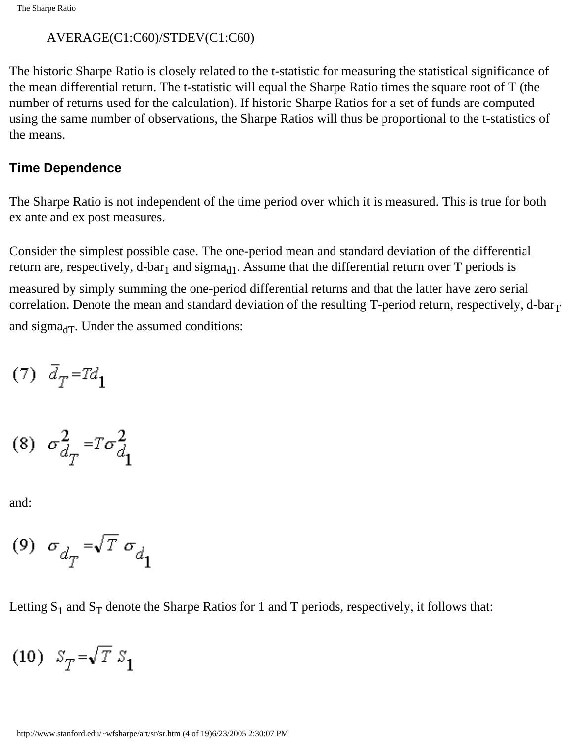#### AVERAGE(C1:C60)/STDEV(C1:C60)

The historic Sharpe Ratio is closely related to the t-statistic for measuring the statistical significance of the mean differential return. The t-statistic will equal the Sharpe Ratio times the square root of T (the number of returns used for the calculation). If historic Sharpe Ratios for a set of funds are computed using the same number of observations, the Sharpe Ratios will thus be proportional to the t-statistics of the means.

#### **Time Dependence**

The Sharpe Ratio is not independent of the time period over which it is measured. This is true for both ex ante and ex post measures.

Consider the simplest possible case. The one-period mean and standard deviation of the differential return are, respectively, d-bar<sub>1</sub> and sigma<sub>d1</sub>. Assume that the differential return over T periods is measured by simply summing the one-period differential returns and that the latter have zero serial correlation. Denote the mean and standard deviation of the resulting T-period return, respectively, d-bar $_T$ and sigma $_{dT}$ . Under the assumed conditions:

$$
(7) \quad \bar{d}_T = T d_1
$$

$$
(8) \quad \sigma_{d_T}^2 = T \sigma_{d_1}^2
$$

and:

$$
\ ^{(9)}\ \sigma_{d_{T}}=\sqrt{T}\ \sigma_{d_{1}}
$$

Letting  $S_1$  and  $S_T$  denote the Sharpe Ratios for 1 and T periods, respectively, it follows that:

$$
(10) S_T = \sqrt{T} S_1
$$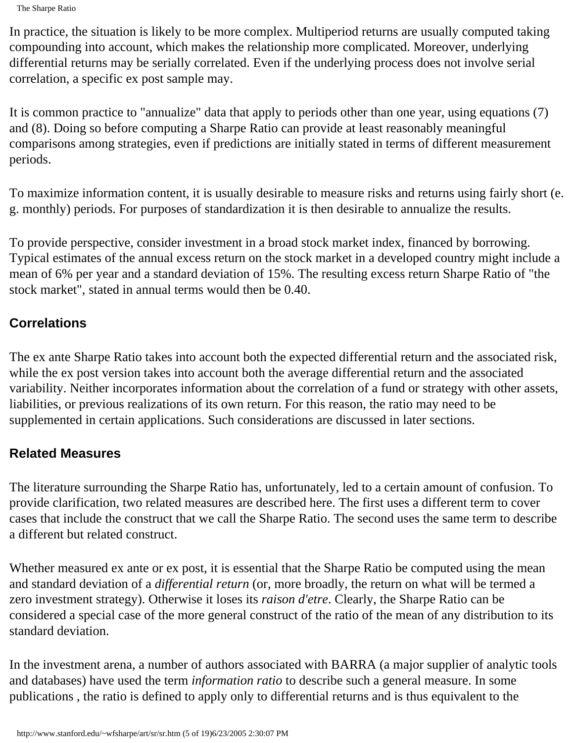The Sharpe Ratio

In practice, the situation is likely to be more complex. Multiperiod returns are usually computed taking compounding into account, which makes the relationship more complicated. Moreover, underlying differential returns may be serially correlated. Even if the underlying process does not involve serial correlation, a specific ex post sample may.

It is common practice to "annualize" data that apply to periods other than one year, using equations (7) and (8). Doing so before computing a Sharpe Ratio can provide at least reasonably meaningful comparisons among strategies, even if predictions are initially stated in terms of different measurement periods.

To maximize information content, it is usually desirable to measure risks and returns using fairly short (e. g. monthly) periods. For purposes of standardization it is then desirable to annualize the results.

To provide perspective, consider investment in a broad stock market index, financed by borrowing. Typical estimates of the annual excess return on the stock market in a developed country might include a mean of 6% per year and a standard deviation of 15%. The resulting excess return Sharpe Ratio of "the stock market", stated in annual terms would then be 0.40.

#### **Correlations**

The ex ante Sharpe Ratio takes into account both the expected differential return and the associated risk, while the ex post version takes into account both the average differential return and the associated variability. Neither incorporates information about the correlation of a fund or strategy with other assets, liabilities, or previous realizations of its own return. For this reason, the ratio may need to be supplemented in certain applications. Such considerations are discussed in later sections.

#### **Related Measures**

The literature surrounding the Sharpe Ratio has, unfortunately, led to a certain amount of confusion. To provide clarification, two related measures are described here. The first uses a different term to cover cases that include the construct that we call the Sharpe Ratio. The second uses the same term to describe a different but related construct.

Whether measured ex ante or ex post, it is essential that the Sharpe Ratio be computed using the mean and standard deviation of a *differential return* (or, more broadly, the return on what will be termed a zero investment strategy). Otherwise it loses its *raison d'etre*. Clearly, the Sharpe Ratio can be considered a special case of the more general construct of the ratio of the mean of any distribution to its standard deviation.

In the investment arena, a number of authors associated with BARRA (a major supplier of analytic tools and databases) have used the term *information ratio* to describe such a general measure. In some publications , the ratio is defined to apply only to differential returns and is thus equivalent to the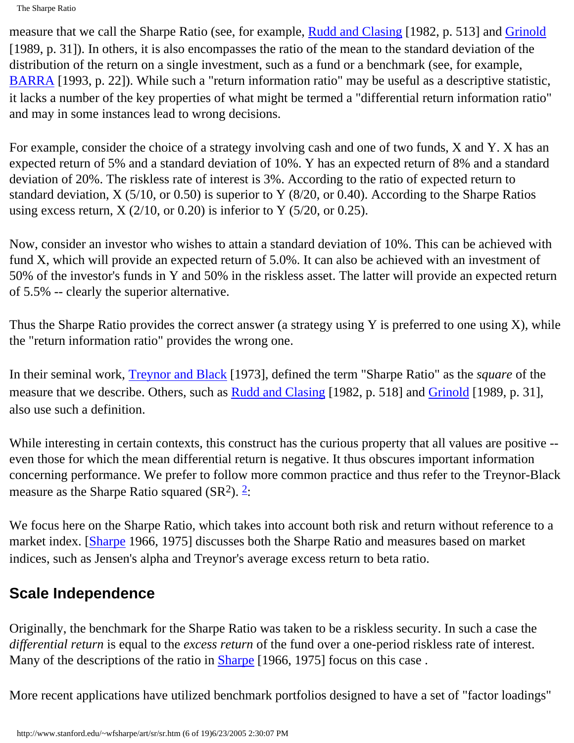The Sharpe Ratio

measure that we call the Sharpe Ratio (see, for example, [Rudd and Clasing](http://www.stanford.edu/~wfsharpe/art/sr/SR.htm#Rudd) [1982, p. 513] and [Grinold](http://www.stanford.edu/~wfsharpe/art/sr/SR.htm#Grinold) [1989, p. 31]). In others, it is also encompasses the ratio of the mean to the standard deviation of the distribution of the return on a single investment, such as a fund or a benchmark (see, for example, [BARRA](http://www.stanford.edu/~wfsharpe/art/sr/SR.htm#BARRA) [1993, p. 22]). While such a "return information ratio" may be useful as a descriptive statistic, it lacks a number of the key properties of what might be termed a "differential return information ratio" and may in some instances lead to wrong decisions.

For example, consider the choice of a strategy involving cash and one of two funds, X and Y. X has an expected return of 5% and a standard deviation of 10%. Y has an expected return of 8% and a standard deviation of 20%. The riskless rate of interest is 3%. According to the ratio of expected return to standard deviation, X (5/10, or 0.50) is superior to Y (8/20, or 0.40). According to the Sharpe Ratios using excess return,  $X(2/10, \text{ or } 0.20)$  is inferior to Y (5/20, or 0.25).

Now, consider an investor who wishes to attain a standard deviation of 10%. This can be achieved with fund X, which will provide an expected return of 5.0%. It can also be achieved with an investment of 50% of the investor's funds in Y and 50% in the riskless asset. The latter will provide an expected return of 5.5% -- clearly the superior alternative.

Thus the Sharpe Ratio provides the correct answer (a strategy using Y is preferred to one using X), while the "return information ratio" provides the wrong one.

In their seminal work, [Treynor and Black](http://www.stanford.edu/~wfsharpe/art/sr/SR.htm#Treynor) [1973], defined the term "Sharpe Ratio" as the *square* of the measure that we describe. Others, such as [Rudd and Clasing](http://www.stanford.edu/~wfsharpe/art/sr/SR.htm#Rudd) [1982, p. 518] and [Grinold](http://www.stanford.edu/~wfsharpe/art/sr/SR.htm#Grinold) [1989, p. 31], also use such a definition.

While interesting in certain contexts, this construct has the curious property that all values are positive -even those for which the mean differential return is negative. It thus obscures important information concerning performance. We prefer to follow more common practice and thus refer to the Treynor-Black measure as the Sharpe Ratio squared  $(SR<sup>2</sup>)$ .  $\frac{2}{3}$ :

We focus here on the Sharpe Ratio, which takes into account both risk and return without reference to a market index. [\[Sharpe](http://www.stanford.edu/~wfsharpe/art/sr/SR.htm#Sharpe66) 1966, 1975] discusses both the Sharpe Ratio and measures based on market indices, such as Jensen's alpha and Treynor's average excess return to beta ratio.

## **Scale Independence**

Originally, the benchmark for the Sharpe Ratio was taken to be a riskless security. In such a case the *differential return* is equal to the *excess return* of the fund over a one-period riskless rate of interest. Many of the descriptions of the ratio in [Sharpe](http://www.stanford.edu/~wfsharpe/art/sr/SR.htm#Sharpe66) [1966, 1975] focus on this case.

More recent applications have utilized benchmark portfolios designed to have a set of "factor loadings"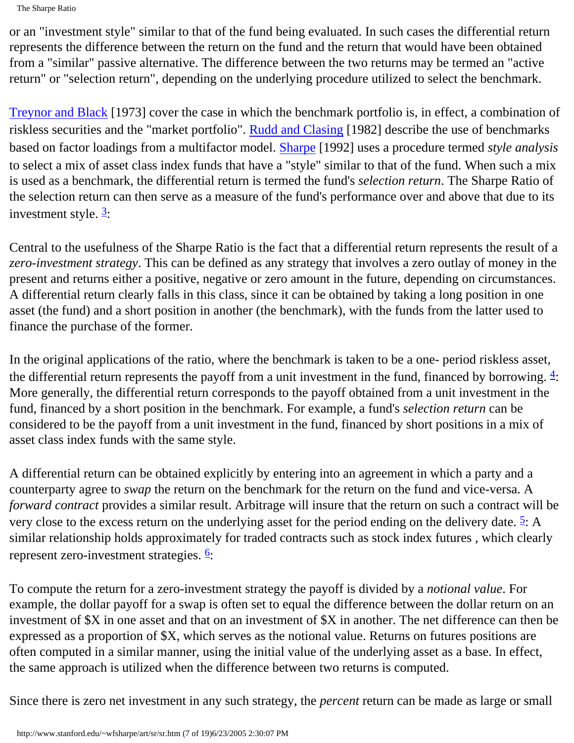The Sharpe Ratio

or an "investment style" similar to that of the fund being evaluated. In such cases the differential return represents the difference between the return on the fund and the return that would have been obtained from a "similar" passive alternative. The difference between the two returns may be termed an "active return" or "selection return", depending on the underlying procedure utilized to select the benchmark.

[Treynor and Black](http://www.stanford.edu/~wfsharpe/art/sr/SR.htm#Treynor) [1973] cover the case in which the benchmark portfolio is, in effect, a combination of riskless securities and the "market portfolio". [Rudd and Clasing](http://www.stanford.edu/~wfsharpe/art/sr/SR.htm#Rudd) [1982] describe the use of benchmarks based on factor loadings from a multifactor model. [Sharpe](http://www.stanford.edu/~wfsharpe/art/sr/SR.htm#Sharpe92) [1992] uses a procedure termed *style analysis* to select a mix of asset class index funds that have a "style" similar to that of the fund. When such a mix is used as a benchmark, the differential return is termed the fund's *selection return*. The Sharpe Ratio of the selection return can then serve as a measure of the fund's performance over and above that due to its investment style.  $\frac{3}{2}$ :

Central to the usefulness of the Sharpe Ratio is the fact that a differential return represents the result of a *zero-investment strategy*. This can be defined as any strategy that involves a zero outlay of money in the present and returns either a positive, negative or zero amount in the future, depending on circumstances. A differential return clearly falls in this class, since it can be obtained by taking a long position in one asset (the fund) and a short position in another (the benchmark), with the funds from the latter used to finance the purchase of the former.

In the original applications of the ratio, where the benchmark is taken to be a one- period riskless asset, the differential return represents the payoff from a unit investment in the fund, financed by borrowing.  $\frac{4}{3}$ : More generally, the differential return corresponds to the payoff obtained from a unit investment in the fund, financed by a short position in the benchmark. For example, a fund's *selection return* can be considered to be the payoff from a unit investment in the fund, financed by short positions in a mix of asset class index funds with the same style.

A differential return can be obtained explicitly by entering into an agreement in which a party and a counterparty agree to *swap* the return on the benchmark for the return on the fund and vice-versa. A *forward contract* provides a similar result. Arbitrage will insure that the return on such a contract will be very close to the excess return on the underlying asset for the period ending on the delivery date.  $\frac{5}{3}$  $\frac{5}{3}$  $\frac{5}{3}$ : A similar relationship holds approximately for traded contracts such as stock index futures , which clearly represent zero-investment strategies. [6:](http://www.stanford.edu/~wfsharpe/art/sr/SR.htm#fn6)

To compute the return for a zero-investment strategy the payoff is divided by a *notional value*. For example, the dollar payoff for a swap is often set to equal the difference between the dollar return on an investment of \$X in one asset and that on an investment of \$X in another. The net difference can then be expressed as a proportion of \$X, which serves as the notional value. Returns on futures positions are often computed in a similar manner, using the initial value of the underlying asset as a base. In effect, the same approach is utilized when the difference between two returns is computed.

Since there is zero net investment in any such strategy, the *percent* return can be made as large or small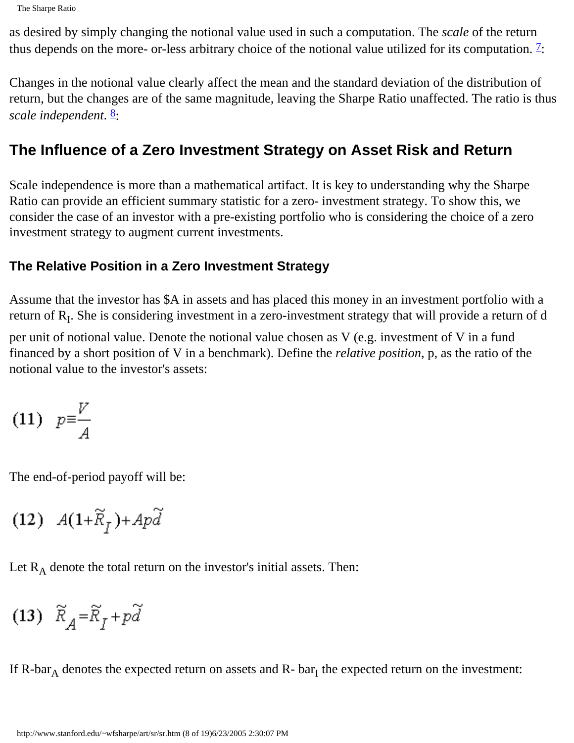as desired by simply changing the notional value used in such a computation. The *scale* of the return thus depends on the more- or-less arbitrary choice of the notional value utilized for its computation.  $\frac{7}{1}$  $\frac{7}{1}$  $\frac{7}{1}$ :

Changes in the notional value clearly affect the mean and the standard deviation of the distribution of return, but the changes are of the same magnitude, leaving the Sharpe Ratio unaffected. The ratio is thus *scale independent.*  $\frac{8}{2}$  $\frac{8}{2}$  $\frac{8}{2}$ :

## **The Influence of a Zero Investment Strategy on Asset Risk and Return**

Scale independence is more than a mathematical artifact. It is key to understanding why the Sharpe Ratio can provide an efficient summary statistic for a zero- investment strategy. To show this, we consider the case of an investor with a pre-existing portfolio who is considering the choice of a zero investment strategy to augment current investments.

#### **The Relative Position in a Zero Investment Strategy**

Assume that the investor has \$A in assets and has placed this money in an investment portfolio with a return of R<sub>I</sub>. She is considering investment in a zero-investment strategy that will provide a return of d

per unit of notional value. Denote the notional value chosen as V (e.g. investment of V in a fund financed by a short position of V in a benchmark). Define the *relative position*, p, as the ratio of the notional value to the investor's assets:

$$
(11) \quad p = \frac{V}{A}
$$

The end-of-period payoff will be:

$$
(12)\ \ A(1{+}\widetilde{R}_f){+}Ap\widetilde{d}
$$

Let  $R_A$  denote the total return on the investor's initial assets. Then:

$$
(13) \ \widetilde{R}_A\texttt{=}\widetilde{R}_I + p\widetilde{d}
$$

If  $R-bar_A$  denotes the expected return on assets and  $R-bar_I$  the expected return on the investment: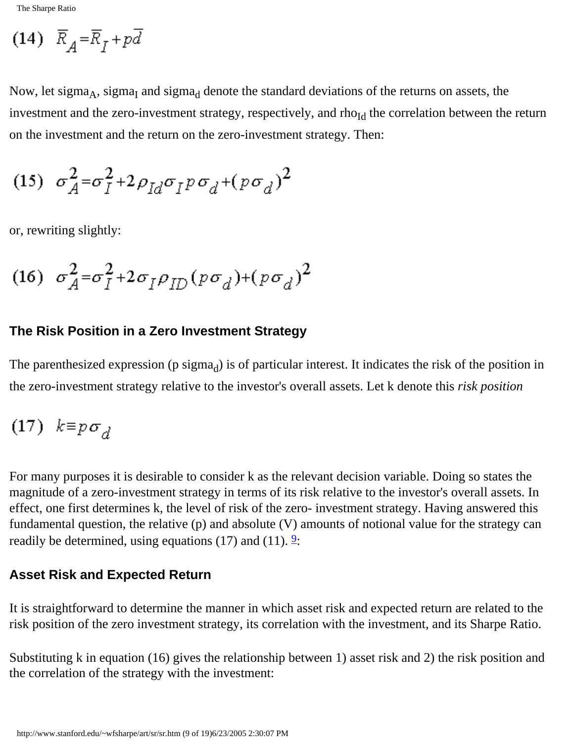$$
(14) \ \overline{R}_A = \overline{R}_I + p\overline{d}
$$

Now, let sigma<sub>A</sub>, sigma<sub>I</sub> and sigma<sub>d</sub> denote the standard deviations of the returns on assets, the investment and the zero-investment strategy, respectively, and rho<sub>Id</sub> the correlation between the return on the investment and the return on the zero-investment strategy. Then:

$$
(15) \quad \sigma_A^2 = \sigma_I^2 + 2\rho_{Id}\sigma_I p \sigma_d + (p \sigma_d)^2
$$

or, rewriting slightly:

$$
(16) \quad \sigma_A^2 = \sigma_I^2 + 2 \sigma_I \rho_{ID} (p \sigma_d) + (p \sigma_d)^2
$$

#### **The Risk Position in a Zero Investment Strategy**

The parenthesized expression (p sigma $_d$ ) is of particular interest. It indicates the risk of the position in the zero-investment strategy relative to the investor's overall assets. Let k denote this *risk position*

$$
(17) \ \ k \equiv p \sigma_d
$$

For many purposes it is desirable to consider k as the relevant decision variable. Doing so states the magnitude of a zero-investment strategy in terms of its risk relative to the investor's overall assets. In effect, one first determines k, the level of risk of the zero- investment strategy. Having answered this fundamental question, the relative (p) and absolute (V) amounts of notional value for the strategy can readily be determined, using equations (17) and (11).  $\frac{9}{2}$ :

#### **Asset Risk and Expected Return**

It is straightforward to determine the manner in which asset risk and expected return are related to the risk position of the zero investment strategy, its correlation with the investment, and its Sharpe Ratio.

Substituting k in equation (16) gives the relationship between 1) asset risk and 2) the risk position and the correlation of the strategy with the investment: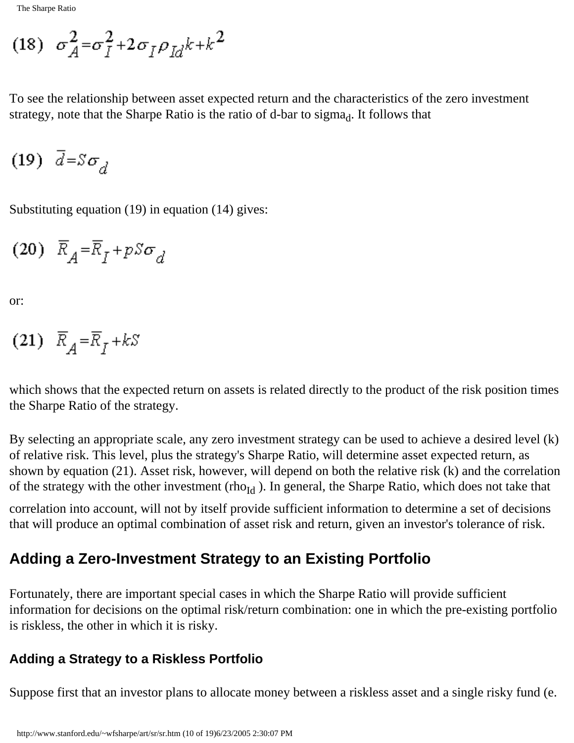$$
(18) \quad \sigma_A^2 = \sigma_I^2 + 2\,\sigma_I \rho_{Id} k + k^2
$$

To see the relationship between asset expected return and the characteristics of the zero investment strategy, note that the Sharpe Ratio is the ratio of d-bar to sigma $_d$ . It follows that

$$
(19) \quad \bar{d} = S \sigma_d
$$

Substituting equation (19) in equation (14) gives:

$$
(20) \ \overline{R}_A = \overline{R}_I + pS\sigma_d
$$

or:

$$
(21) \ \ \overline{R}_A = \overline{R}_I + kS
$$

which shows that the expected return on assets is related directly to the product of the risk position times the Sharpe Ratio of the strategy.

By selecting an appropriate scale, any zero investment strategy can be used to achieve a desired level (k) of relative risk. This level, plus the strategy's Sharpe Ratio, will determine asset expected return, as shown by equation (21). Asset risk, however, will depend on both the relative risk (k) and the correlation of the strategy with the other investment (rho<sub>Id</sub>). In general, the Sharpe Ratio, which does not take that

correlation into account, will not by itself provide sufficient information to determine a set of decisions that will produce an optimal combination of asset risk and return, given an investor's tolerance of risk.

## **Adding a Zero-Investment Strategy to an Existing Portfolio**

Fortunately, there are important special cases in which the Sharpe Ratio will provide sufficient information for decisions on the optimal risk/return combination: one in which the pre-existing portfolio is riskless, the other in which it is risky.

#### **Adding a Strategy to a Riskless Portfolio**

Suppose first that an investor plans to allocate money between a riskless asset and a single risky fund (e.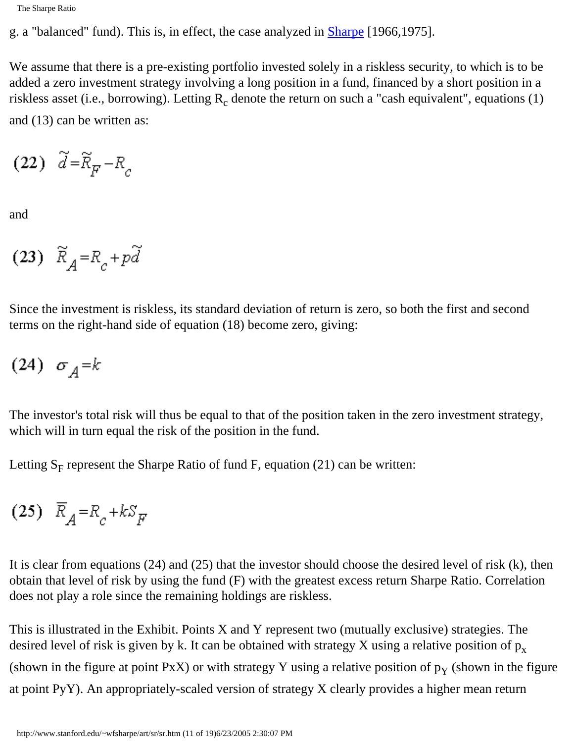g. a "balanced" fund). This is, in effect, the case analyzed in [Sharpe](#page-0-0) [1966,1975].

We assume that there is a pre-existing portfolio invested solely in a riskless security, to which is to be added a zero investment strategy involving a long position in a fund, financed by a short position in a riskless asset (i.e., borrowing). Letting  $R_c$  denote the return on such a "cash equivalent", equations (1) and (13) can be written as:

$$
(22) \quad \widetilde{d} = \widetilde{R}_{\overline{F}} - R_c
$$

and

(23)  $\widetilde{R}_A = R_c + p\widetilde{d}$ 

Since the investment is riskless, its standard deviation of return is zero, so both the first and second terms on the right-hand side of equation (18) become zero, giving:

$$
(24) \sigma_{A} = k
$$

The investor's total risk will thus be equal to that of the position taken in the zero investment strategy, which will in turn equal the risk of the position in the fund.

Letting  $S_F$  represent the Sharpe Ratio of fund F, equation (21) can be written:

$$
(25) \ \overline{R}_A = R_c + kS_F
$$

It is clear from equations (24) and (25) that the investor should choose the desired level of risk (k), then obtain that level of risk by using the fund (F) with the greatest excess return Sharpe Ratio. Correlation does not play a role since the remaining holdings are riskless.

This is illustrated in the Exhibit. Points X and Y represent two (mutually exclusive) strategies. The desired level of risk is given by k. It can be obtained with strategy X using a relative position of  $p_x$ (shown in the figure at point PxX) or with strategy Y using a relative position of  $p<sub>Y</sub>$  (shown in the figure at point PyY). An appropriately-scaled version of strategy X clearly provides a higher mean return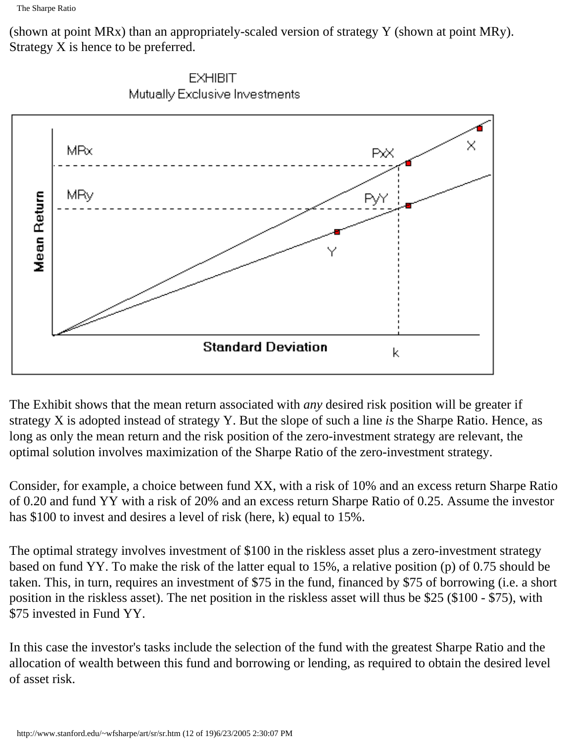(shown at point MRx) than an appropriately-scaled version of strategy Y (shown at point MRy). Strategy X is hence to be preferred.





The Exhibit shows that the mean return associated with *any* desired risk position will be greater if strategy X is adopted instead of strategy Y. But the slope of such a line *is* the Sharpe Ratio. Hence, as long as only the mean return and the risk position of the zero-investment strategy are relevant, the optimal solution involves maximization of the Sharpe Ratio of the zero-investment strategy.

Consider, for example, a choice between fund XX, with a risk of 10% and an excess return Sharpe Ratio of 0.20 and fund YY with a risk of 20% and an excess return Sharpe Ratio of 0.25. Assume the investor has \$100 to invest and desires a level of risk (here, k) equal to 15%.

The optimal strategy involves investment of \$100 in the riskless asset plus a zero-investment strategy based on fund YY. To make the risk of the latter equal to 15%, a relative position (p) of 0.75 should be taken. This, in turn, requires an investment of \$75 in the fund, financed by \$75 of borrowing (i.e. a short position in the riskless asset). The net position in the riskless asset will thus be \$25 (\$100 - \$75), with \$75 invested in Fund YY.

In this case the investor's tasks include the selection of the fund with the greatest Sharpe Ratio and the allocation of wealth between this fund and borrowing or lending, as required to obtain the desired level of asset risk.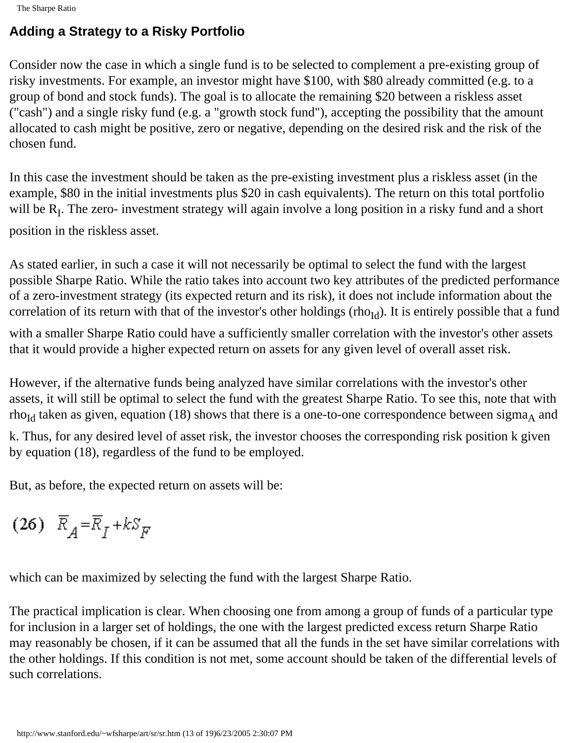#### **Adding a Strategy to a Risky Portfolio**

Consider now the case in which a single fund is to be selected to complement a pre-existing group of risky investments. For example, an investor might have \$100, with \$80 already committed (e.g. to a group of bond and stock funds). The goal is to allocate the remaining \$20 between a riskless asset ("cash") and a single risky fund (e.g. a "growth stock fund"), accepting the possibility that the amount allocated to cash might be positive, zero or negative, depending on the desired risk and the risk of the chosen fund.

In this case the investment should be taken as the pre-existing investment plus a riskless asset (in the example, \$80 in the initial investments plus \$20 in cash equivalents). The return on this total portfolio will be  $R_I$ . The zero- investment strategy will again involve a long position in a risky fund and a short

position in the riskless asset.

As stated earlier, in such a case it will not necessarily be optimal to select the fund with the largest possible Sharpe Ratio. While the ratio takes into account two key attributes of the predicted performance of a zero-investment strategy (its expected return and its risk), it does not include information about the correlation of its return with that of the investor's other holdings (rho<sub>Id</sub>). It is entirely possible that a fund

with a smaller Sharpe Ratio could have a sufficiently smaller correlation with the investor's other assets that it would provide a higher expected return on assets for any given level of overall asset risk.

However, if the alternative funds being analyzed have similar correlations with the investor's other assets, it will still be optimal to select the fund with the greatest Sharpe Ratio. To see this, note that with rho<sub>Id</sub> taken as given, equation (18) shows that there is a one-to-one correspondence between sigma<sub>A</sub> and

k. Thus, for any desired level of asset risk, the investor chooses the corresponding risk position k given by equation (18), regardless of the fund to be employed.

But, as before, the expected return on assets will be:

$$
(26) \ \overline{R}_A = \overline{R}_I + kS_F
$$

which can be maximized by selecting the fund with the largest Sharpe Ratio.

The practical implication is clear. When choosing one from among a group of funds of a particular type for inclusion in a larger set of holdings, the one with the largest predicted excess return Sharpe Ratio may reasonably be chosen, if it can be assumed that all the funds in the set have similar correlations with the other holdings. If this condition is not met, some account should be taken of the differential levels of such correlations.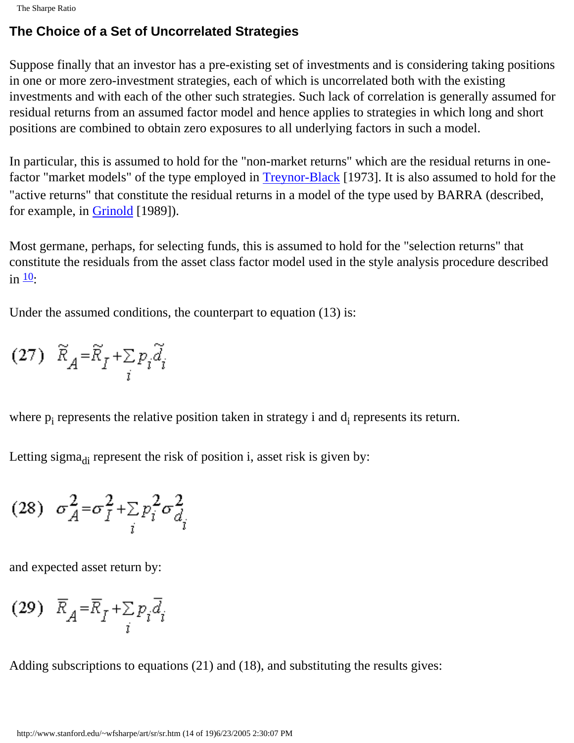The Sharpe Ratio

#### **The Choice of a Set of Uncorrelated Strategies**

Suppose finally that an investor has a pre-existing set of investments and is considering taking positions in one or more zero-investment strategies, each of which is uncorrelated both with the existing investments and with each of the other such strategies. Such lack of correlation is generally assumed for residual returns from an assumed factor model and hence applies to strategies in which long and short positions are combined to obtain zero exposures to all underlying factors in such a model.

In particular, this is assumed to hold for the "non-market returns" which are the residual returns in one-factor "market models" of the type employed in [Treynor-Black](#page-0-0) [1973]. It is also assumed to hold for the "active returns" that constitute the residual returns in a model of the type used by BARRA (described, for example, in [Grinold](#page-0-0) [1989]).

Most germane, perhaps, for selecting funds, this is assumed to hold for the "selection returns" that constitute the residuals from the asset class factor model used in the style analysis procedure described in  $\frac{10}{1}$ :

Under the assumed conditions, the counterpart to equation (13) is:

$$
(27) \quad \widetilde{R}_A = \widetilde{R}_I + \sum_i p_i \widetilde{d}_i
$$

where  $p_i$  represents the relative position taken in strategy i and  $d_i$  represents its return.

Letting sigma $_{di}$  represent the risk of position i, asset risk is given by:

$$
(28) \quad \sigma_A^2 = \sigma_I^2 + \sum_i p_i^2 \sigma_{d_i}^2
$$

and expected asset return by:

$$
(29) \ \ \overline{R}_A = \overline{R}_I + \sum_i p_i \overline{d}_i
$$

Adding subscriptions to equations (21) and (18), and substituting the results gives: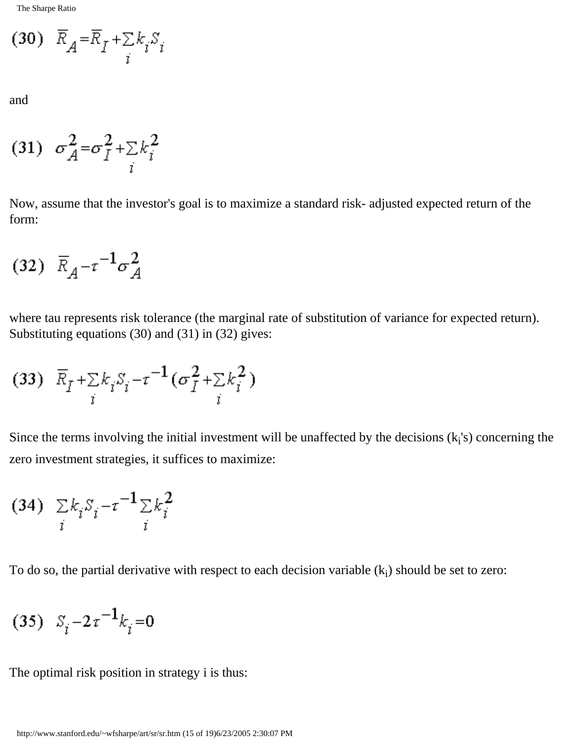$$
(30) \ \overline{R}_A = \overline{R}_I + \sum_i k_i S_i
$$

and

$$
(31) \quad \sigma_A^2 = \sigma_I^2 + \sum_i k_i^2
$$

Now, assume that the investor's goal is to maximize a standard risk- adjusted expected return of the form:

$$
(32) \ \overline{R}_A - \tau^{-1} \sigma_A^2
$$

where tau represents risk tolerance (the marginal rate of substitution of variance for expected return). Substituting equations (30) and (31) in (32) gives:

$$
(33) \ \ \overline{R}_I + \sum_i k_i S_i - \tau^{-1} (\sigma_I^2 + \sum_i k_i^2)
$$

Since the terms involving the initial investment will be unaffected by the decisions  $(k_i's)$  concerning the zero investment strategies, it suffices to maximize:

$$
(34) \sum_{i} k_i S_i - \tau^{-1} \sum_{i} k_i^2
$$

To do so, the partial derivative with respect to each decision variable  $(k_i)$  should be set to zero:

$$
(35) S_i - 2\tau^{-1} k_i = 0
$$

The optimal risk position in strategy i is thus: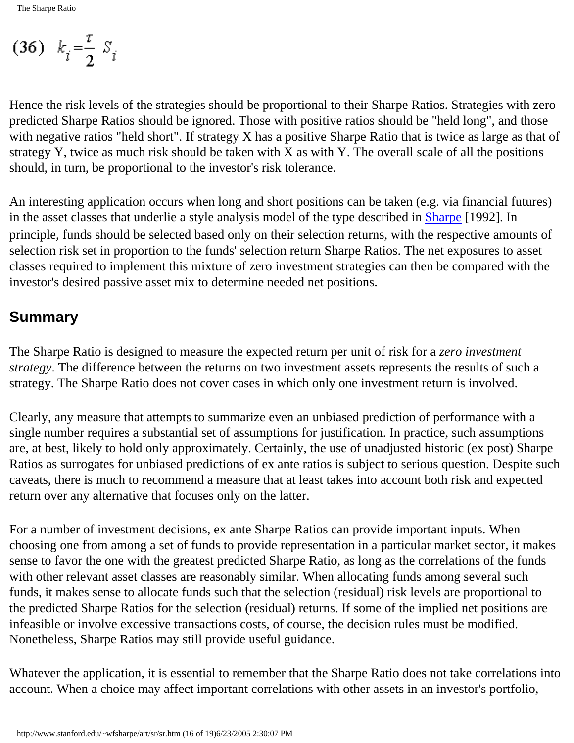$$
(36) \quad k_i = \frac{\tau}{2} S_i
$$

Hence the risk levels of the strategies should be proportional to their Sharpe Ratios. Strategies with zero predicted Sharpe Ratios should be ignored. Those with positive ratios should be "held long", and those with negative ratios "held short". If strategy X has a positive Sharpe Ratio that is twice as large as that of strategy Y, twice as much risk should be taken with X as with Y. The overall scale of all the positions should, in turn, be proportional to the investor's risk tolerance.

An interesting application occurs when long and short positions can be taken (e.g. via financial futures) in the asset classes that underlie a style analysis model of the type described in [Sharpe](#page-0-0) [1992]. In principle, funds should be selected based only on their selection returns, with the respective amounts of selection risk set in proportion to the funds' selection return Sharpe Ratios. The net exposures to asset classes required to implement this mixture of zero investment strategies can then be compared with the investor's desired passive asset mix to determine needed net positions.

#### **Summary**

The Sharpe Ratio is designed to measure the expected return per unit of risk for a *zero investment strategy*. The difference between the returns on two investment assets represents the results of such a strategy. The Sharpe Ratio does not cover cases in which only one investment return is involved.

Clearly, any measure that attempts to summarize even an unbiased prediction of performance with a single number requires a substantial set of assumptions for justification. In practice, such assumptions are, at best, likely to hold only approximately. Certainly, the use of unadjusted historic (ex post) Sharpe Ratios as surrogates for unbiased predictions of ex ante ratios is subject to serious question. Despite such caveats, there is much to recommend a measure that at least takes into account both risk and expected return over any alternative that focuses only on the latter.

For a number of investment decisions, ex ante Sharpe Ratios can provide important inputs. When choosing one from among a set of funds to provide representation in a particular market sector, it makes sense to favor the one with the greatest predicted Sharpe Ratio, as long as the correlations of the funds with other relevant asset classes are reasonably similar. When allocating funds among several such funds, it makes sense to allocate funds such that the selection (residual) risk levels are proportional to the predicted Sharpe Ratios for the selection (residual) returns. If some of the implied net positions are infeasible or involve excessive transactions costs, of course, the decision rules must be modified. Nonetheless, Sharpe Ratios may still provide useful guidance.

Whatever the application, it is essential to remember that the Sharpe Ratio does not take correlations into account. When a choice may affect important correlations with other assets in an investor's portfolio,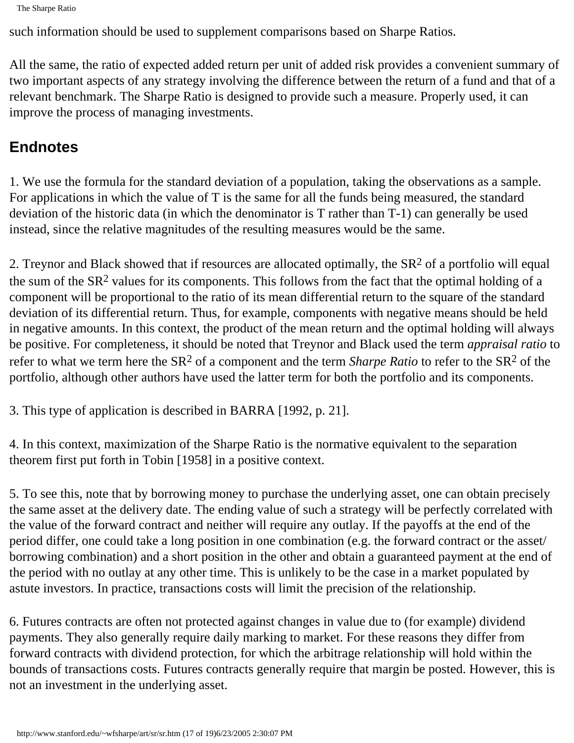```
The Sharpe Ratio
```
such information should be used to supplement comparisons based on Sharpe Ratios.

All the same, the ratio of expected added return per unit of added risk provides a convenient summary of two important aspects of any strategy involving the difference between the return of a fund and that of a relevant benchmark. The Sharpe Ratio is designed to provide such a measure. Properly used, it can improve the process of managing investments.

## **Endnotes**

1. We use the formula for the standard deviation of a population, taking the observations as a sample. For applications in which the value of T is the same for all the funds being measured, the standard deviation of the historic data (in which the denominator is T rather than T-1) can generally be used instead, since the relative magnitudes of the resulting measures would be the same.

2. Treynor and Black showed that if resources are allocated optimally, the  $SR<sup>2</sup>$  of a portfolio will equal the sum of the  $SR<sup>2</sup>$  values for its components. This follows from the fact that the optimal holding of a component will be proportional to the ratio of its mean differential return to the square of the standard deviation of its differential return. Thus, for example, components with negative means should be held in negative amounts. In this context, the product of the mean return and the optimal holding will always be positive. For completeness, it should be noted that Treynor and Black used the term *appraisal ratio* to refer to what we term here the SR2 of a component and the term *Sharpe Ratio* to refer to the SR2 of the portfolio, although other authors have used the latter term for both the portfolio and its components.

3. This type of application is described in BARRA [1992, p. 21].

4. In this context, maximization of the Sharpe Ratio is the normative equivalent to the separation theorem first put forth in Tobin [1958] in a positive context.

5. To see this, note that by borrowing money to purchase the underlying asset, one can obtain precisely the same asset at the delivery date. The ending value of such a strategy will be perfectly correlated with the value of the forward contract and neither will require any outlay. If the payoffs at the end of the period differ, one could take a long position in one combination (e.g. the forward contract or the asset/ borrowing combination) and a short position in the other and obtain a guaranteed payment at the end of the period with no outlay at any other time. This is unlikely to be the case in a market populated by astute investors. In practice, transactions costs will limit the precision of the relationship.

6. Futures contracts are often not protected against changes in value due to (for example) dividend payments. They also generally require daily marking to market. For these reasons they differ from forward contracts with dividend protection, for which the arbitrage relationship will hold within the bounds of transactions costs. Futures contracts generally require that margin be posted. However, this is not an investment in the underlying asset.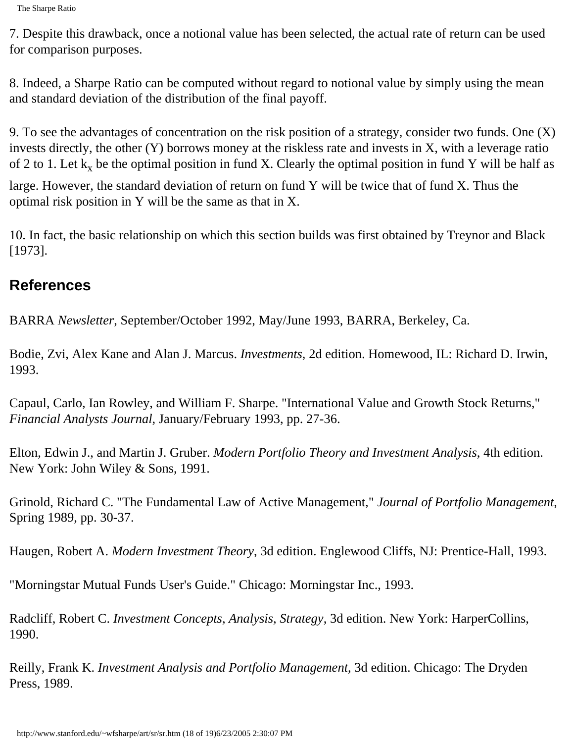7. Despite this drawback, once a notional value has been selected, the actual rate of return can be used for comparison purposes.

8. Indeed, a Sharpe Ratio can be computed without regard to notional value by simply using the mean and standard deviation of the distribution of the final payoff.

9. To see the advantages of concentration on the risk position of a strategy, consider two funds. One (X) invests directly, the other (Y) borrows money at the riskless rate and invests in X, with a leverage ratio of 2 to 1. Let  $k_x$  be the optimal position in fund X. Clearly the optimal position in fund Y will be half as

large. However, the standard deviation of return on fund Y will be twice that of fund X. Thus the optimal risk position in Y will be the same as that in X.

10. In fact, the basic relationship on which this section builds was first obtained by Treynor and Black [1973].

## **References**

BARRA *Newsletter*, September/October 1992, May/June 1993, BARRA, Berkeley, Ca.

Bodie, Zvi, Alex Kane and Alan J. Marcus. *Investments*, 2d edition. Homewood, IL: Richard D. Irwin, 1993.

Capaul, Carlo, Ian Rowley, and William F. Sharpe. "International Value and Growth Stock Returns," *Financial Analysts Journal*, January/February 1993, pp. 27-36.

Elton, Edwin J., and Martin J. Gruber. *Modern Portfolio Theory and Investment Analysis*, 4th edition. New York: John Wiley & Sons, 1991.

Grinold, Richard C. "The Fundamental Law of Active Management," *Journal of Portfolio Management*, Spring 1989, pp. 30-37.

Haugen, Robert A. *Modern Investment Theory*, 3d edition. Englewood Cliffs, NJ: Prentice-Hall, 1993.

"Morningstar Mutual Funds User's Guide." Chicago: Morningstar Inc., 1993.

Radcliff, Robert C. *Investment Concepts, Analysis, Strategy*, 3d edition. New York: HarperCollins, 1990.

Reilly, Frank K. *Investment Analysis and Portfolio Management*, 3d edition. Chicago: The Dryden Press, 1989.